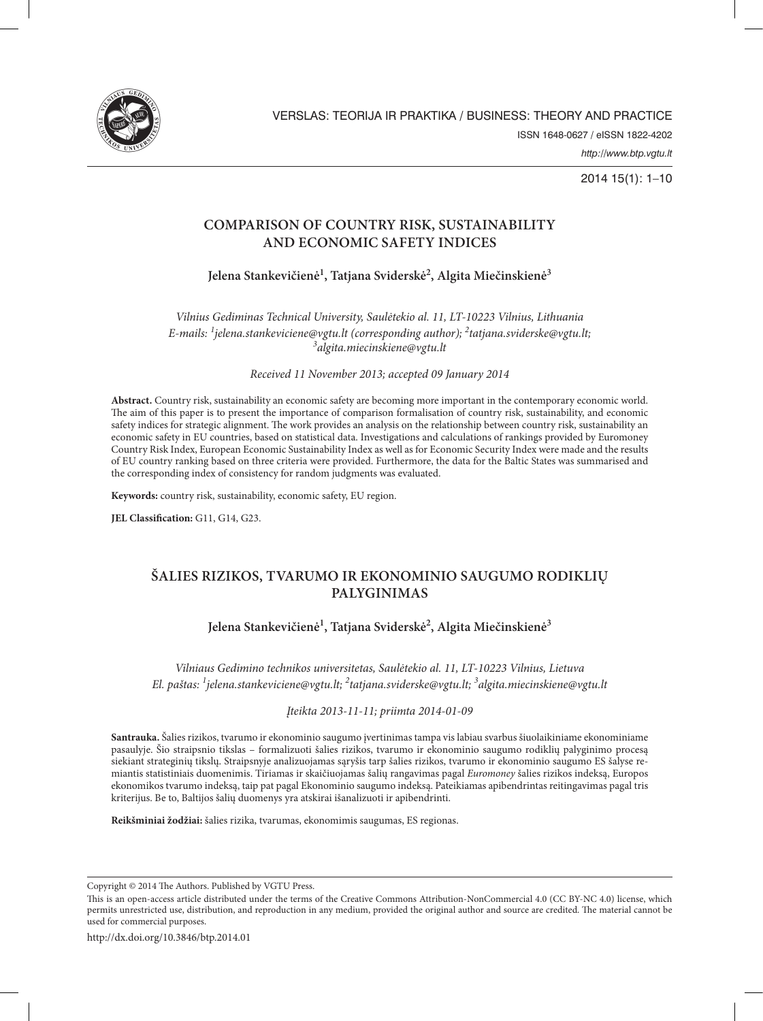

2014 15(1): 1–10

# **COMPARISON OF COUNTRY RISK, SUSTAINABILITY AND ECONOMIC SAFETY INDICES**

**Jelena Stankevičienė1 , Tatjana Sviderskė2 , Algita Miečinskienė3**

*Vilnius Gediminas Technical University, Saulėtekio al. 11, LT-10223 Vilnius, Lithuania E-mails: <sup>1</sup> jelena.stankeviciene@vgtu.lt (corresponding author); 2 tatjana.sviderske@vgtu.lt; 3 algita.miecinskiene@vgtu.lt*

*Received 11 November 2013; accepted 09 January 2014*

**Abstract.** Country risk, sustainability an economic safety are becoming more important in the contemporary economic world. The aim of this paper is to present the importance of comparison formalisation of country risk, sustainability, and economic safety indices for strategic alignment. The work provides an analysis on the relationship between country risk, sustainability an economic safety in EU countries, based on statistical data. Investigations and calculations of rankings provided by Euromoney Country Risk Index, European Economic Sustainability Index as well as for Economic Security Index were made and the results of EU country ranking based on three criteria were provided. Furthermore, the data for the Baltic States was summarised and the corresponding index of consistency for random judgments was evaluated.

**Keywords:** country risk, sustainability, economic safety, EU region.

**JEL Classification:** G11, G14, G23.

# **šalies rizikos, tvarumo ir ekonominio saugumo RODIKLIŲ PALYGINIMAS**

## **Jelena Stankevičienė1 , Tatjana Sviderskė2 , Algita Miečinskienė3**

*Vilniaus Gedimino technikos universitetas, Saulėtekio al. 11, LT-10223 Vilnius, Lietuva El. paštas: 1 jelena.stankeviciene@vgtu.lt; 2 tatjana.sviderske@vgtu.lt; 3 algita.miecinskiene@vgtu.lt*

## *Įteikta 2013-11-11; priimta 2014-01-09*

**Santrauka.** Šalies rizikos, tvarumo ir ekonominio saugumo įvertinimas tampa vis labiau svarbus šiuolaikiniame ekonominiame pasaulyje. Šio straipsnio tikslas – formalizuoti šalies rizikos, tvarumo ir ekonominio saugumo rodiklių palyginimo procesą siekiant strateginių tikslų. Straipsnyje analizuojamas sąryšis tarp šalies rizikos, tvarumo ir ekonominio saugumo ES šalyse remiantis statistiniais duomenimis. Tiriamas ir skaičiuojamas šalių rangavimas pagal *Euromoney* šalies rizikos indeksą, Europos ekonomikos tvarumo indeksą, taip pat pagal Ekonominio saugumo indeksą. Pateikiamas apibendrintas reitingavimas pagal tris kriterijus. Be to, Baltijos šalių duomenys yra atskirai išanalizuoti ir apibendrinti.

**Reikšminiai žodžiai:** šalies rizika, tvarumas, ekonomimis saugumas, ES regionas.

Copyright © 2014 The Authors. Published by VGTU Press.

This is an open-access article distributed under the terms of the Creative Commons Attribution-NonCommercial 4.0 (CC BY-NC 4.0) license, which permits unrestricted use, distribution, and reproduction in any medium, provided the original author and source are credited. The material cannot be used for commercial purposes.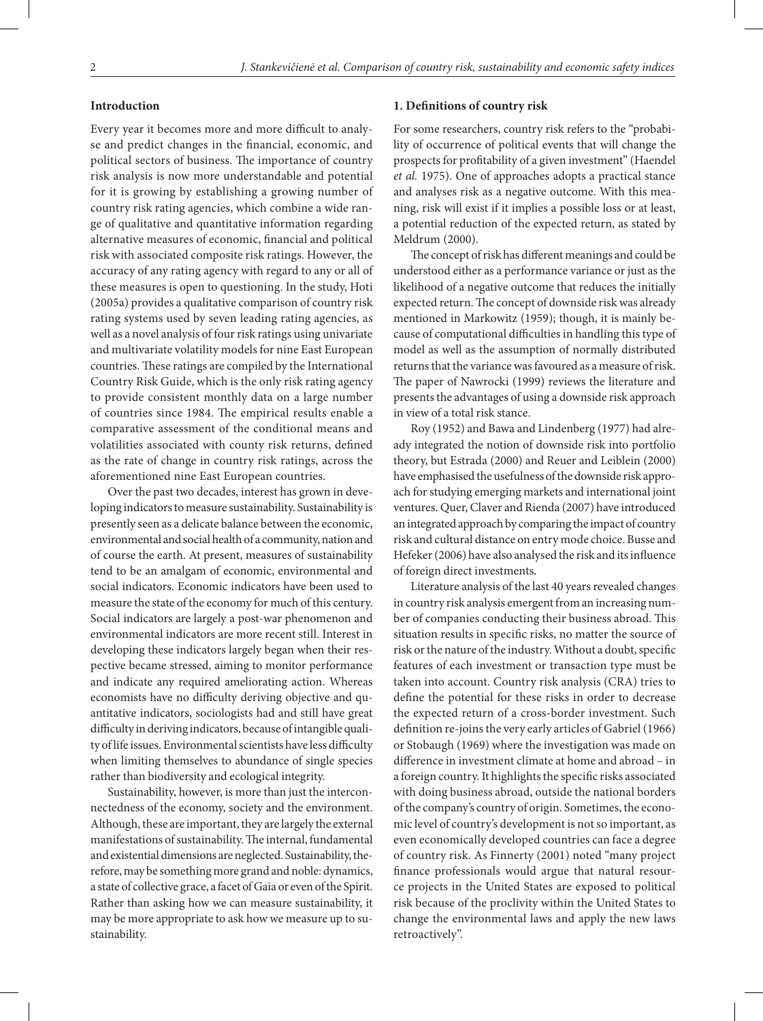#### **Introduction**

Every year it becomes more and more difficult to analyse and predict changes in the financial, economic, and political sectors of business. The importance of country risk analysis is now more understandable and potential for it is growing by establishing a growing number of country risk rating agencies, which combine a wide range of qualitative and quantitative information regarding alternative measures of economic, financial and political risk with associated composite risk ratings. However, the accuracy of any rating agency with regard to any or all of these measures is open to questioning. In the study, Hoti (2005a) provides a qualitative comparison of country risk rating systems used by seven leading rating agencies, as well as a novel analysis of four risk ratings using univariate and multivariate volatility models for nine East European countries. These ratings are compiled by the International Country Risk Guide, which is the only risk rating agency to provide consistent monthly data on a large number of countries since 1984. The empirical results enable a comparative assessment of the conditional means and volatilities associated with county risk returns, defined as the rate of change in country risk ratings, across the aforementioned nine East European countries.

Over the past two decades, interest has grown in developing indicators to measure sustainability. Sustainability is presently seen as a delicate balance between the economic, environmental and social health of a community, nation and of course the earth. At present, measures of sustainability tend to be an amalgam of economic, environmental and social indicators. Economic indicators have been used to measure the state of the economy for much of this century. Social indicators are largely a post-war phenomenon and environmental indicators are more recent still. Interest in developing these indicators largely began when their respective became stressed, aiming to monitor performance and indicate any required ameliorating action. Whereas economists have no difficulty deriving objective and quantitative indicators, sociologists had and still have great difficulty in deriving indicators, because of intangible quality of life issues. Environmental scientists have less difficulty when limiting themselves to abundance of single species rather than biodiversity and ecological integrity.

Sustainability, however, is more than just the interconnectedness of the economy, society and the environment. Although, these are important, they are largely the external manifestations of sustainability. The internal, fundamental and existential dimensions are neglected. Sustainability, therefore, may be something more grand and noble: dynamics, a state of collective grace, a facet of Gaia or even of the Spirit. Rather than asking how we can measure sustainability, it may be more appropriate to ask how we measure up to sustainability.

#### **1. Definitions of country risk**

For some researchers, country risk refers to the "probability of occurrence of political events that will change the prospects for profitability of a given investment" (Haendel *et al.* 1975). One of approaches adopts a practical stance and analyses risk as a negative outcome. With this meaning, risk will exist if it implies a possible loss or at least, a potential reduction of the expected return, as stated by Meldrum (2000).

The concept of risk has different meanings and could be understood either as a performance variance or just as the likelihood of a negative outcome that reduces the initially expected return. The concept of downside risk was already mentioned in Markowitz (1959); though, it is mainly because of computational difficulties in handling this type of model as well as the assumption of normally distributed returns that the variance was favoured as a measure of risk. The paper of Nawrocki (1999) reviews the literature and presents the advantages of using a downside risk approach in view of a total risk stance.

Roy (1952) and Bawa and Lindenberg (1977) had already integrated the notion of downside risk into portfolio theory, but Estrada (2000) and Reuer and Leiblein (2000) have emphasised the usefulness of the downside risk approach for studying emerging markets and international joint ventures. Quer, Claver and Rienda (2007) have introduced an integrated approach by comparing the impact of country risk and cultural distance on entry mode choice. Busse and Hefeker (2006) have also analysed the risk and its influence of foreign direct investments.

Literature analysis of the last 40 years revealed changes in country risk analysis emergent from an increasing number of companies conducting their business abroad. This situation results in specific risks, no matter the source of risk or the nature of the industry. Without a doubt, specific features of each investment or transaction type must be taken into account. Country risk analysis (CRA) tries to define the potential for these risks in order to decrease the expected return of a cross-border investment. Such definition re-joins the very early articles of Gabriel (1966) or Stobaugh (1969) where the investigation was made on difference in investment climate at home and abroad – in a foreign country. It highlights the specific risks associated with doing business abroad, outside the national borders of the company's country of origin. Sometimes, the economic level of country's development is not so important, as even economically developed countries can face a degree of country risk. As Finnerty (2001) noted "many project finance professionals would argue that natural resource projects in the United States are exposed to political risk because of the proclivity within the United States to change the environmental laws and apply the new laws retroactively".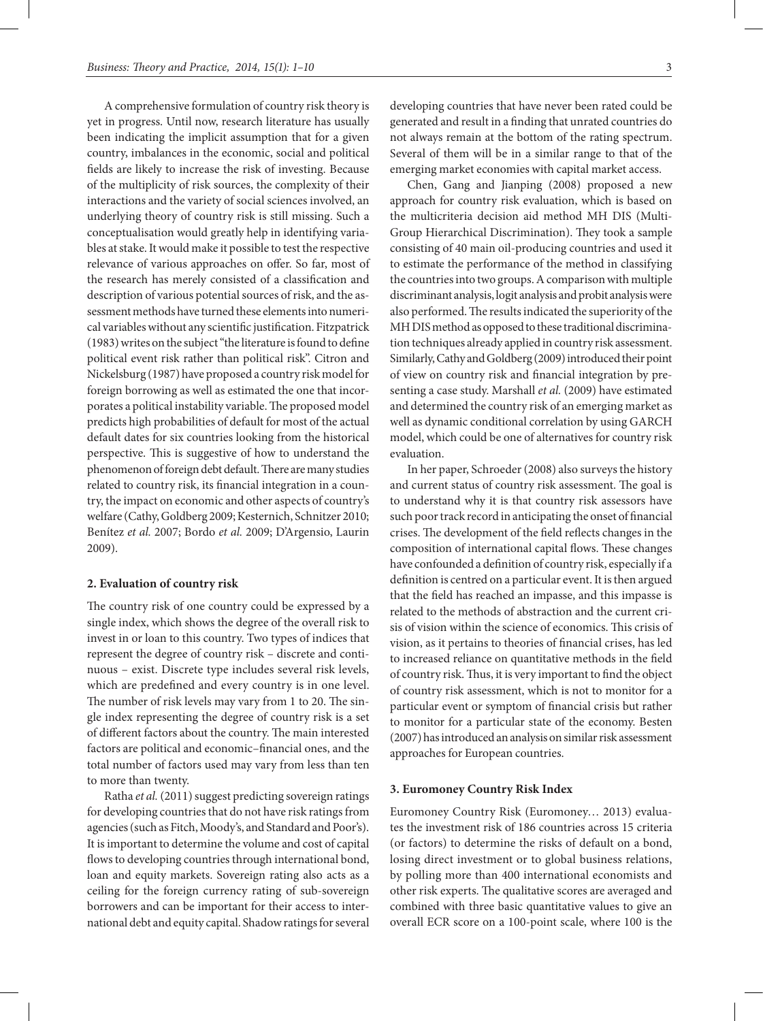A comprehensive formulation of country risk theory is yet in progress. Until now, research literature has usually been indicating the implicit assumption that for a given country, imbalances in the economic, social and political fields are likely to increase the risk of investing. Because of the multiplicity of risk sources, the complexity of their interactions and the variety of social sciences involved, an underlying theory of country risk is still missing. Such a conceptualisation would greatly help in identifying variables at stake. It would make it possible to test the respective relevance of various approaches on offer. So far, most of the research has merely consisted of a classification and description of various potential sources of risk, and the assessment methods have turned these elements into numerical variables without any scientific justification. Fitzpatrick (1983) writes on the subject "the literature is found to define political event risk rather than political risk". Citron and Nickelsburg (1987) have proposed a country risk model for foreign borrowing as well as estimated the one that incorporates a political instability variable. The proposed model predicts high probabilities of default for most of the actual default dates for six countries looking from the historical perspective. This is suggestive of how to understand the phenomenon of foreign debt default. There are many studies related to country risk, its financial integration in a country, the impact on economic and other aspects of country's welfare (Cathy, Goldberg 2009; Kesternich, Schnitzer 2010; Benítez *et al.* 2007; Bordo *et al.* 2009; D'Argensio, Laurin 2009).

#### **2. Evaluation of country risk**

The country risk of one country could be expressed by a single index, which shows the degree of the overall risk to invest in or loan to this country. Two types of indices that represent the degree of country risk – discrete and continuous – exist. Discrete type includes several risk levels, which are predefined and every country is in one level. The number of risk levels may vary from 1 to 20. The single index representing the degree of country risk is a set of different factors about the country. The main interested factors are political and economic–financial ones, and the total number of factors used may vary from less than ten to more than twenty.

Ratha *et al.* (2011) suggest predicting sovereign ratings for developing countries that do not have risk ratings from agencies (such as Fitch, Moody's, and Standard and Poor's). It is important to determine the volume and cost of capital flows to developing countries through international bond, loan and equity markets. Sovereign rating also acts as a ceiling for the foreign currency rating of sub-sovereign borrowers and can be important for their access to international debt and equity capital. Shadow ratings for several

developing countries that have never been rated could be generated and result in a finding that unrated countries do not always remain at the bottom of the rating spectrum. Several of them will be in a similar range to that of the emerging market economies with capital market access.

Chen, Gang and Jianping (2008) proposed a new approach for country risk evaluation, which is based on the multicriteria decision aid method MH DIS (Multi-Group Hierarchical Discrimination). They took a sample consisting of 40 main oil-producing countries and used it to estimate the performance of the method in classifying the countries into two groups. A comparison with multiple discriminant analysis, logit analysis and probit analysis were also performed. The results indicated the superiority of the MH DIS method as opposed to these traditional discrimination techniques already applied in country risk assessment. Similarly, Cathy and Goldberg (2009) introduced their point of view on country risk and financial integration by presenting a case study. Marshall *et al.* (2009) have estimated and determined the country risk of an emerging market as well as dynamic conditional correlation by using GARCH model, which could be one of alternatives for country risk evaluation.

In her paper, Schroeder (2008) also surveys the history and current status of country risk assessment. The goal is to understand why it is that country risk assessors have such poor track record in anticipating the onset of financial crises. The development of the field reflects changes in the composition of international capital flows. These changes have confounded a definition of country risk, especially if a definition is centred on a particular event. It is then argued that the field has reached an impasse, and this impasse is related to the methods of abstraction and the current crisis of vision within the science of economics. This crisis of vision, as it pertains to theories of financial crises, has led to increased reliance on quantitative methods in the field of country risk. Thus, it is very important to find the object of country risk assessment, which is not to monitor for a particular event or symptom of financial crisis but rather to monitor for a particular state of the economy. Besten (2007) has introduced an analysis on similar risk assessment approaches for European countries.

### **3. Euromoney Country Risk Index**

Euromoney Country Risk (Euromoney… 2013) evaluates the investment risk of 186 countries across 15 criteria (or factors) to determine the risks of default on a bond, losing direct investment or to global business relations, by polling more than 400 international economists and other risk experts. The qualitative scores are averaged and combined with three basic quantitative values to give an overall ECR score on a 100-point scale, where 100 is the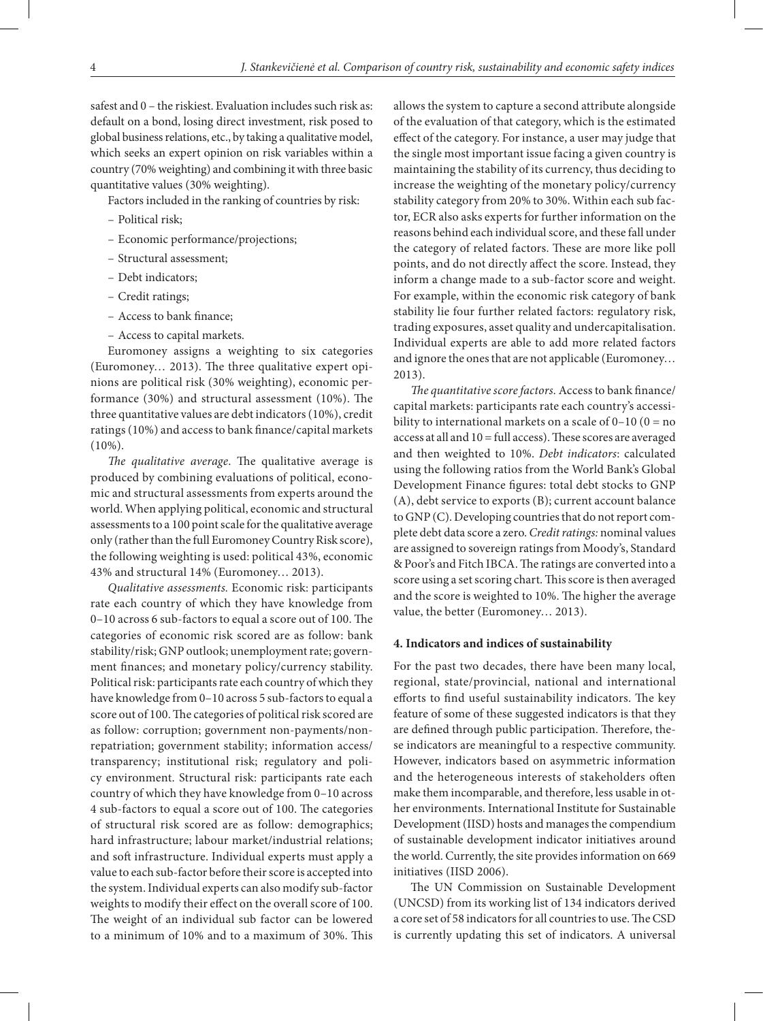safest and 0 – the riskiest. Evaluation includes such risk as: default on a bond, losing direct investment, risk posed to global business relations, etc., by taking a qualitative model, which seeks an expert opinion on risk variables within a country (70% weighting) and combining it with three basic quantitative values (30% weighting).

Factors included in the ranking of countries by risk:

- Political risk;
- Economic performance/projections;
- Structural assessment;
- Debt indicators;
- Credit ratings;
- Access to bank finance;
- Access to capital markets.

Euromoney assigns a weighting to six categories (Euromoney… 2013). The three qualitative expert opinions are political risk (30% weighting), economic performance (30%) and structural assessment (10%). The three quantitative values are debt indicators (10%), credit ratings (10%) and access to bank finance/capital markets (10%).

*The qualitative average*. The qualitative average is produced by combining evaluations of political, economic and structural assessments from experts around the world. When applying political, economic and structural assessments to a 100 point scale for the qualitative average only (rather than the full Euromoney Country Risk score), the following weighting is used: political 43%, economic 43% and structural 14% (Euromoney… 2013).

*Qualitative assessments.* Economic risk: participants rate each country of which they have knowledge from 0–10 across 6 sub-factors to equal a score out of 100. The categories of economic risk scored are as follow: bank stability/risk; GNP outlook; unemployment rate; government finances; and monetary policy/currency stability. Political risk: participants rate each country of which they have knowledge from 0–10 across 5 sub-factors to equal a score out of 100. The categories of political risk scored are as follow: corruption; government non-payments/nonrepatriation; government stability; information access/ transparency; institutional risk; regulatory and policy environment. Structural risk: participants rate each country of which they have knowledge from 0–10 across 4 sub-factors to equal a score out of 100. The categories of structural risk scored are as follow: demographics; hard infrastructure; labour market/industrial relations; and soft infrastructure. Individual experts must apply a value to each sub-factor before their score is accepted into the system. Individual experts can also modify sub-factor weights to modify their effect on the overall score of 100. The weight of an individual sub factor can be lowered to a minimum of 10% and to a maximum of 30%. This

allows the system to capture a second attribute alongside of the evaluation of that category, which is the estimated effect of the category. For instance, a user may judge that the single most important issue facing a given country is maintaining the stability of its currency, thus deciding to increase the weighting of the monetary policy/currency stability category from 20% to 30%. Within each sub factor, ECR also asks experts for further information on the reasons behind each individual score, and these fall under the category of related factors. These are more like poll points, and do not directly affect the score. Instead, they inform a change made to a sub-factor score and weight. For example, within the economic risk category of bank stability lie four further related factors: regulatory risk, trading exposures, asset quality and undercapitalisation. Individual experts are able to add more related factors and ignore the ones that are not applicable (Euromoney… 2013).

*The quantitative score factors.* Access to bank finance/ capital markets: participants rate each country's accessibility to international markets on a scale of  $0-10$  ( $0 =$  no access at all and 10 = full access). These scores are averaged and then weighted to 10%. *Debt indicators*: calculated using the following ratios from the World Bank's Global Development Finance figures: total debt stocks to GNP (A), debt service to exports (B); current account balance to GNP (C). Developing countries that do not report complete debt data score a zero. *Credit ratings:* nominal values are assigned to sovereign ratings from Moody's, Standard & Poor's and Fitch IBCA. The ratings are converted into a score using a set scoring chart. This score is then averaged and the score is weighted to 10%. The higher the average value, the better (Euromoney… 2013).

## **4. Indicators and indices of sustainability**

For the past two decades, there have been many local, regional, state/provincial, national and international efforts to find useful sustainability indicators. The key feature of some of these suggested indicators is that they are defined through public participation. Therefore, these indicators are meaningful to a respective community. However, indicators based on asymmetric information and the heterogeneous interests of stakeholders often make them incomparable, and therefore, less usable in other environments. International Institute for Sustainable Development (IISD) hosts and manages the compendium of sustainable development indicator initiatives around the world. Currently, the site provides information on 669 initiatives (IISD 2006).

The UN Commission on Sustainable Development (UNCSD) from its working list of 134 indicators derived a core set of 58 indicators for all countries to use. The CSD is currently updating this set of indicators. A universal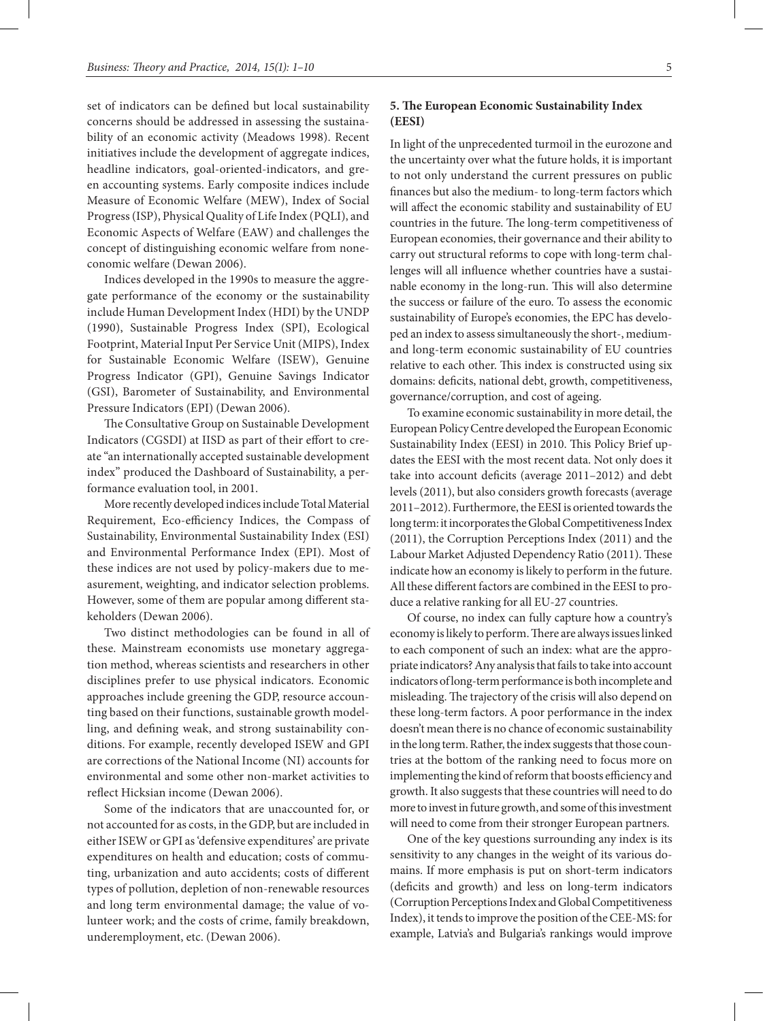set of indicators can be defined but local sustainability concerns should be addressed in assessing the sustainability of an economic activity (Meadows 1998). Recent initiatives include the development of aggregate indices, headline indicators, goal-oriented-indicators, and green accounting systems. Early composite indices include Measure of Economic Welfare (MEW), Index of Social Progress (ISP), Physical Quality of Life Index (PQLI), and Economic Aspects of Welfare (EAW) and challenges the concept of distinguishing economic welfare from noneconomic welfare (Dewan 2006).

Indices developed in the 1990s to measure the aggregate performance of the economy or the sustainability include Human Development Index (HDI) by the UNDP (1990), Sustainable Progress Index (SPI), Ecological Footprint, Material Input Per Service Unit (MIPS), Index for Sustainable Economic Welfare (ISEW), Genuine Progress Indicator (GPI), Genuine Savings Indicator (GSI), Barometer of Sustainability, and Environmental Pressure Indicators (EPI) (Dewan 2006).

The Consultative Group on Sustainable Development Indicators (CGSDI) at IISD as part of their effort to create "an internationally accepted sustainable development index" produced the Dashboard of Sustainability, a performance evaluation tool, in 2001.

More recently developed indices include Total Material Requirement, Eco-efficiency Indices, the Compass of Sustainability, Environmental Sustainability Index (ESI) and Environmental Performance Index (EPI). Most of these indices are not used by policy-makers due to measurement, weighting, and indicator selection problems. However, some of them are popular among different stakeholders (Dewan 2006).

Two distinct methodologies can be found in all of these. Mainstream economists use monetary aggregation method, whereas scientists and researchers in other disciplines prefer to use physical indicators. Economic approaches include greening the GDP, resource accounting based on their functions, sustainable growth modelling, and defining weak, and strong sustainability conditions. For example, recently developed ISEW and GPI are corrections of the National Income (NI) accounts for environmental and some other non-market activities to reflect Hicksian income (Dewan 2006).

Some of the indicators that are unaccounted for, or not accounted for as costs, in the GDP, but are included in either ISEW or GPI as 'defensive expenditures' are private expenditures on health and education; costs of commuting, urbanization and auto accidents; costs of different types of pollution, depletion of non-renewable resources and long term environmental damage; the value of volunteer work; and the costs of crime, family breakdown, underemployment, etc. (Dewan 2006).

## **5. The European Economic Sustainability Index (EESI)**

In light of the unprecedented turmoil in the eurozone and the uncertainty over what the future holds, it is important to not only understand the current pressures on public finances but also the medium- to long-term factors which will affect the economic stability and sustainability of EU countries in the future. The long-term competitiveness of European economies, their governance and their ability to carry out structural reforms to cope with long-term challenges will all influence whether countries have a sustainable economy in the long-run. This will also determine the success or failure of the euro. To assess the economic sustainability of Europe's economies, the EPC has developed an index to assess simultaneously the short-, mediumand long-term economic sustainability of EU countries relative to each other. This index is constructed using six domains: deficits, national debt, growth, competitiveness, governance/corruption, and cost of ageing.

To examine economic sustainability in more detail, the European Policy Centre developed the European Economic Sustainability Index (EESI) in 2010. This Policy Brief updates the EESI with the most recent data. Not only does it take into account deficits (average 2011–2012) and debt levels (2011), but also considers growth forecasts (average 2011–2012). Furthermore, the EESI is oriented towards the long term: it incorporates the Global Competitiveness Index (2011), the Corruption Perceptions Index (2011) and the Labour Market Adjusted Dependency Ratio (2011). These indicate how an economy is likely to perform in the future. All these different factors are combined in the EESI to produce a relative ranking for all EU-27 countries.

Of course, no index can fully capture how a country's economy is likely to perform. There are always issues linked to each component of such an index: what are the appropriate indicators? Any analysis that fails to take into account indicators of long-term performance is both incomplete and misleading. The trajectory of the crisis will also depend on these long-term factors. A poor performance in the index doesn't mean there is no chance of economic sustainability in the long term. Rather, the index suggests that those countries at the bottom of the ranking need to focus more on implementing the kind of reform that boosts efficiency and growth. It also suggests that these countries will need to do more to invest in future growth, and some of this investment will need to come from their stronger European partners.

One of the key questions surrounding any index is its sensitivity to any changes in the weight of its various domains. If more emphasis is put on short-term indicators (deficits and growth) and less on long-term indicators (Corruption Perceptions Index and Global Competitiveness Index), it tends to improve the position of the CEE-MS: for example, Latvia's and Bulgaria's rankings would improve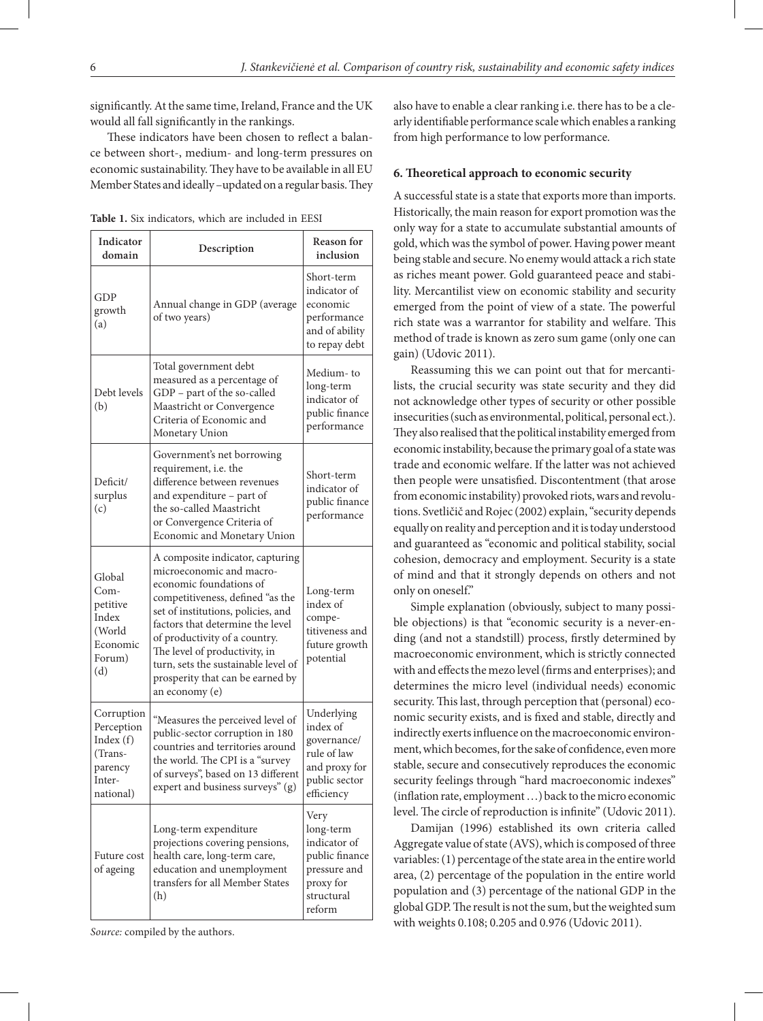significantly. At the same time, Ireland, France and the UK would all fall significantly in the rankings.

These indicators have been chosen to reflect a balance between short-, medium- and long-term pressures on economic sustainability. They have to be available in all EU Member States and ideally –updated on a regular basis. They

| Table 1. Six indicators, which are included in EESI |
|-----------------------------------------------------|
|-----------------------------------------------------|

| Indicator<br>domain                                                                  | Description                                                                                                                                                                                                                                                                                                                                                          | Reason for<br>inclusion                                                                                  |  |  |
|--------------------------------------------------------------------------------------|----------------------------------------------------------------------------------------------------------------------------------------------------------------------------------------------------------------------------------------------------------------------------------------------------------------------------------------------------------------------|----------------------------------------------------------------------------------------------------------|--|--|
| GDP<br>growth<br>(a)                                                                 | Annual change in GDP (average<br>of two years)                                                                                                                                                                                                                                                                                                                       | Short-term<br>indicator of<br>economic<br>performance<br>and of ability<br>to repay debt                 |  |  |
| Debt levels<br>(b)                                                                   | Total government debt<br>measured as a percentage of<br>GDP - part of the so-called<br>Maastricht or Convergence<br>Criteria of Economic and<br>Monetary Union                                                                                                                                                                                                       | Medium-to<br>long-term<br>indicator of<br>public finance<br>performance                                  |  |  |
| Deficit/<br>surplus<br>(c)                                                           | Government's net borrowing<br>requirement, i.e. the<br>difference between revenues<br>and expenditure - part of<br>the so-called Maastricht<br>or Convergence Criteria of<br>Economic and Monetary Union                                                                                                                                                             | Short-term<br>indicator of<br>public finance<br>performance                                              |  |  |
| Global<br>Com-<br>petitive<br>Index<br>(World<br>Economic<br>Forum)<br>(d)           | A composite indicator, capturing<br>microeconomic and macro-<br>economic foundations of<br>competitiveness, defined "as the<br>set of institutions, policies, and<br>factors that determine the level<br>of productivity of a country.<br>The level of productivity, in<br>turn, sets the sustainable level of<br>prosperity that can be earned by<br>an economy (e) | Long-term<br>index of<br>compe-<br>titiveness and<br>future growth<br>potential                          |  |  |
| Corruption<br>Perception<br>Index $(f)$<br>(Trans-<br>parency<br>Inter-<br>national) | "Measures the perceived level of<br>public-sector corruption in 180<br>countries and territories around<br>the world. The CPI is a "survey<br>of surveys", based on 13 different<br>expert and business surveys" (g)                                                                                                                                                 | Underlying<br>index of<br>governance/<br>rule of law<br>and proxy for<br>public sector<br>efficiency     |  |  |
| Future cost<br>of ageing                                                             | Long-term expenditure<br>projections covering pensions,<br>health care, long-term care,<br>education and unemployment<br>transfers for all Member States<br>(h)                                                                                                                                                                                                      | Very<br>long-term<br>indicator of<br>public finance<br>pressure and<br>proxy for<br>structural<br>reform |  |  |

*Source:* compiled by the authors.

also have to enable a clear ranking i.e. there has to be a clearly identifiable performance scale which enables a ranking from high performance to low performance.

#### **6. Theoretical approach to economic security**

A successful state is a state that exports more than imports. Historically, the main reason for export promotion was the only way for a state to accumulate substantial amounts of gold, which was the symbol of power. Having power meant being stable and secure. No enemy would attack a rich state as riches meant power. Gold guaranteed peace and stability. Mercantilist view on economic stability and security emerged from the point of view of a state. The powerful rich state was a warrantor for stability and welfare. This method of trade is known as zero sum game (only one can gain) (Udovic 2011).

Reassuming this we can point out that for mercantilists, the crucial security was state security and they did not acknowledge other types of security or other possible insecurities (such as environmental, political, personal ect.). They also realised that the political instability emerged from economic instability, because the primary goal of a state was trade and economic welfare. If the latter was not achieved then people were unsatisfied. Discontentment (that arose from economic instability) provoked riots, wars and revolutions. Svetličič and Rojec (2002) explain, "security depends equally on reality and perception and it is today understood and guaranteed as "economic and political stability, social cohesion, democracy and employment. Security is a state of mind and that it strongly depends on others and not only on oneself."

Simple explanation (obviously, subject to many possible objections) is that "economic security is a never-ending (and not a standstill) process, firstly determined by macroeconomic environment, which is strictly connected with and effects the mezo level (firms and enterprises); and determines the micro level (individual needs) economic security. This last, through perception that (personal) economic security exists, and is fixed and stable, directly and indirectly exerts influence on the macroeconomic environment, which becomes, for the sake of confidence, even more stable, secure and consecutively reproduces the economic security feelings through "hard macroeconomic indexes" (inflation rate, employment …) back to the micro economic level. The circle of reproduction is infinite" (Udovic 2011).

Damijan (1996) established its own criteria called Aggregate value of state (AVS), which is composed of three variables: (1) percentage of the state area in the entire world area, (2) percentage of the population in the entire world population and (3) percentage of the national GDP in the global GDP. The result is not the sum, but the weighted sum with weights 0.108; 0.205 and 0.976 (Udovic 2011).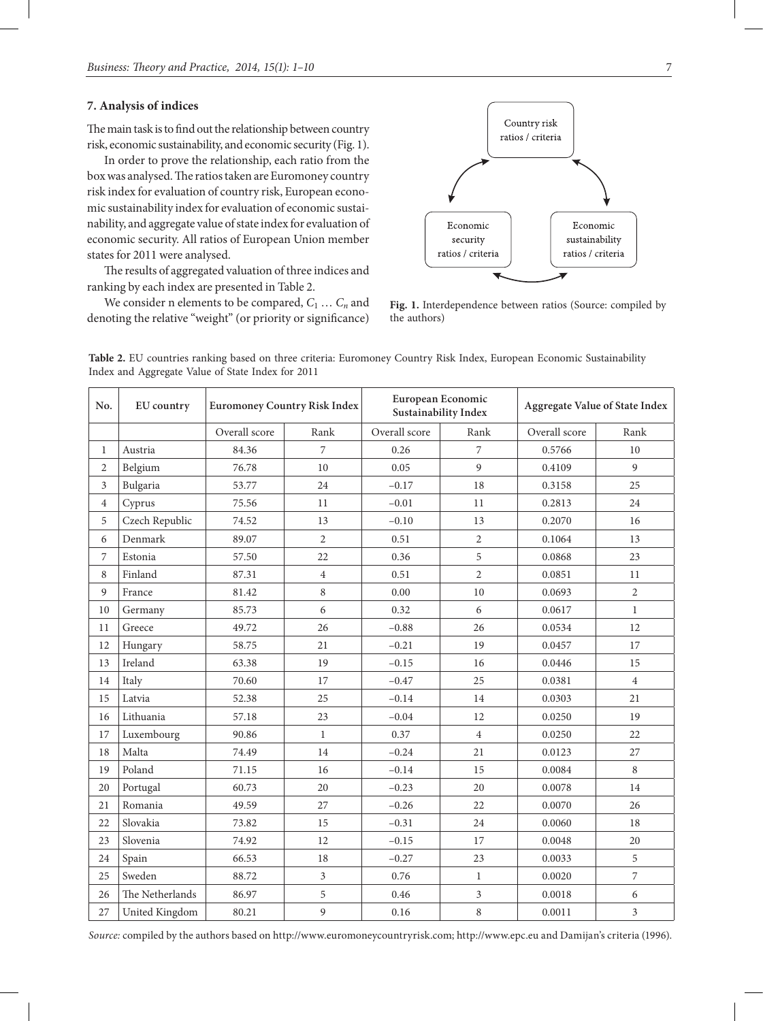### **7. Analysis of indices**

The main task is to find out the relationship between country risk, economic sustainability, and economic security (Fig. 1).

In order to prove the relationship, each ratio from the box was analysed. The ratios taken are Euromoney country risk index for evaluation of country risk, European economic sustainability index for evaluation of economic sustainability, and aggregate value of state index for evaluation of economic security. All ratios of European Union member states for 2011 were analysed.

The results of aggregated valuation of three indices and ranking by each index are presented in Table 2.

We consider n elements to be compared,  $C_1 \ldots C_n$  and denoting the relative "weight" (or priority or significance)



**Fig. 1.** Interdependence between ratios (Source: compiled by the authors)

|                                                   |  | Table 2. EU countries ranking based on three criteria: Euromoney Country Risk Index, European Economic Sustainability |
|---------------------------------------------------|--|-----------------------------------------------------------------------------------------------------------------------|
| Index and Aggregate Value of State Index for 2011 |  |                                                                                                                       |

| No.            | EU country      | <b>Euromoney Country Risk Index</b> |                |               | European Economic<br>Sustainability Index | Aggregate Value of State Index |                |  |
|----------------|-----------------|-------------------------------------|----------------|---------------|-------------------------------------------|--------------------------------|----------------|--|
|                |                 | Overall score                       | Rank           | Overall score | Rank                                      | Overall score                  | Rank           |  |
| 1              | Austria         | 84.36                               | 7              | 0.26          | 7                                         | 0.5766                         | 10             |  |
| 2              | Belgium         | 76.78                               | 10             | 0.05          | 9                                         | 0.4109                         | $\overline{9}$ |  |
| 3              | Bulgaria        | 53.77                               | 24             | $-0.17$       | 18                                        | 0.3158                         | 25             |  |
| $\overline{4}$ | Cyprus          | 75.56                               | 11             | $-0.01$       | 11                                        | 0.2813                         | 24             |  |
| 5              | Czech Republic  | 74.52                               | 13             | $-0.10$       | 13                                        | 0.2070                         | 16             |  |
| 6              | Denmark         | 89.07                               | $\overline{2}$ | 0.51          | $\overline{2}$                            | 0.1064                         | 13             |  |
| 7              | Estonia         | 57.50                               | 22             | 0.36          | 5                                         | 0.0868                         | 23             |  |
| 8              | Finland         | 87.31                               | $\overline{4}$ | 0.51          | $\overline{2}$                            | 0.0851                         | 11             |  |
| 9              | France          | 81.42                               | 8              | 0.00          | 10                                        | 0.0693                         | $\overline{2}$ |  |
| 10             | Germany         | 85.73                               | 6              | 0.32          | 6                                         | 0.0617                         | $\mathbf{1}$   |  |
| 11             | Greece          | 49.72                               | 26             | $-0.88$       | 26                                        | 0.0534                         | 12             |  |
| 12             | Hungary         | 58.75                               | 21             | $-0.21$       | 19                                        | 0.0457                         | 17             |  |
| 13             | Ireland         | 63.38                               | 19             | $-0.15$       | 16                                        | 0.0446                         | 15             |  |
| 14             | Italy           | 70.60                               | 17             | $-0.47$       | 25                                        | 0.0381                         | $\overline{4}$ |  |
| 15             | Latvia          | 52.38                               | 25             | $-0.14$       | 14                                        | 0.0303                         | 21             |  |
| 16             | Lithuania       | 57.18                               | 23             | $-0.04$       | 12                                        | 0.0250                         | 19             |  |
| 17             | Luxembourg      | 90.86                               | $\mathbf{1}$   | 0.37          | $\overline{4}$                            | 0.0250                         | 22             |  |
| 18             | Malta           | 74.49                               | 14             | $-0.24$       | 21                                        | 0.0123                         | 27             |  |
| 19             | Poland          | 71.15                               | 16             | $-0.14$       | 15                                        | 0.0084                         | $\,8\,$        |  |
| 20             | Portugal        | 60.73                               | 20             | $-0.23$       | 20                                        | 0.0078                         | 14             |  |
| 21             | Romania         | 49.59                               | 27             | $-0.26$       | 22                                        | 0.0070                         | 26             |  |
| 22             | Slovakia        | 73.82                               | 15             | $-0.31$       | 24                                        | 0.0060                         | 18             |  |
| 23             | Slovenia        | 74.92                               | 12             | $-0.15$       | 17                                        | 0.0048                         | 20             |  |
| 24             | Spain           | 66.53                               | 18             | $-0.27$       | 23                                        | 0.0033                         | 5              |  |
| 25             | Sweden          | 88.72                               | $\overline{3}$ | 0.76          | $\mathbf{1}$                              | 0.0020                         | $\overline{7}$ |  |
| 26             | The Netherlands | 86.97                               | 5              | 0.46          | 3                                         | 0.0018                         | 6              |  |
| 27             | United Kingdom  | 80.21                               | 9              | 0.16          | 8                                         | 0.0011                         | $\mathfrak{Z}$ |  |

*Source:* compiled by the authors based on http://www.euromoneycountryrisk.com; http://www.epc.eu and Damijan's criteria (1996).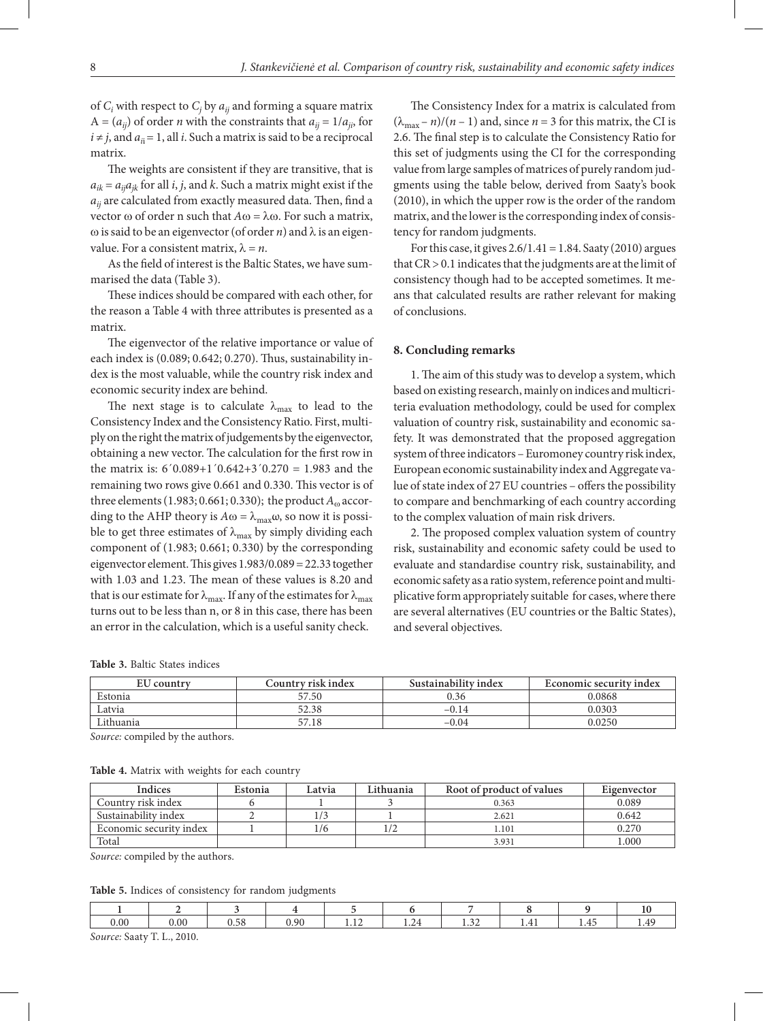of  $C_i$  with respect to  $C_j$  by  $a_{ij}$  and forming a square matrix  $A = (a_{ij})$  of order *n* with the constraints that  $a_{ij} = 1/a_{ji}$ , for  $i \neq j$ , and  $a_{ii} = 1$ , all *i*. Such a matrix is said to be a reciprocal matrix.

The weights are consistent if they are transitive, that is  $a_{ik} = a_{ji}a_{jk}$  for all *i*, *j*, and *k*. Such a matrix might exist if the *aij* are calculated from exactly measured data. Then, find a vector ω of order n such that  $Aω = λω$ . For such a matrix, ω is said to be an eigenvector (of order *n*) and λ is an eigenvalue. For a consistent matrix,  $\lambda = n$ .

As the field of interest is the Baltic States, we have summarised the data (Table 3).

These indices should be compared with each other, for the reason a Table 4 with three attributes is presented as a matrix.

The eigenvector of the relative importance or value of each index is (0.089; 0.642; 0.270). Thus, sustainability index is the most valuable, while the country risk index and economic security index are behind.

The next stage is to calculate  $\lambda_{\text{max}}$  to lead to the Consistency Index and the Consistency Ratio. First, multiply on the right the matrix of judgements by the eigenvector, obtaining a new vector. The calculation for the first row in the matrix is:  $6'0.089+1'0.642+3'0.270 = 1.983$  and the remaining two rows give 0.661 and 0.330. This vector is of three elements (1.983; 0.661; 0.330); the product  $A_{\omega}$  according to the AHP theory is  $A\omega = \lambda_{\text{max}}\omega$ , so now it is possible to get three estimates of  $\lambda_{\text{max}}$  by simply dividing each component of (1.983; 0.661; 0.330) by the corresponding eigenvector element. This gives 1.983/0.089 = 22.33 together with 1.03 and 1.23. The mean of these values is 8.20 and that is our estimate for  $\lambda_{\max}$ . If any of the estimates for  $\lambda_{\max}$ turns out to be less than n, or 8 in this case, there has been an error in the calculation, which is a useful sanity check.

The Consistency Index for a matrix is calculated from  $(\lambda_{\text{max}} - n)/(n - 1)$  and, since  $n = 3$  for this matrix, the CI is 2.6. The final step is to calculate the Consistency Ratio for this set of judgments using the CI for the corresponding value from large samples of matrices of purely random judgments using the table below, derived from Saaty's book (2010), in which the upper row is the order of the random matrix, and the lower is the corresponding index of consistency for random judgments.

For this case, it gives  $2.6/1.41 = 1.84$ . Saaty (2010) argues that CR > 0.1 indicates that the judgments are at the limit of consistency though had to be accepted sometimes. It means that calculated results are rather relevant for making of conclusions.

### **8. Concluding remarks**

1. The aim of this study was to develop a system, which based on existing research, mainly on indices and multicriteria evaluation methodology, could be used for complex valuation of country risk, sustainability and economic safety. It was demonstrated that the proposed aggregation system of three indicators – Euromoney country risk index, European economic sustainability index and Aggregate value of state index of 27 EU countries – offers the possibility to compare and benchmarking of each country according to the complex valuation of main risk drivers.

2. The proposed complex valuation system of country risk, sustainability and economic safety could be used to evaluate and standardise country risk, sustainability, and economic safety as a ratio system, reference point and multiplicative form appropriately suitable for cases, where there are several alternatives (EU countries or the Baltic States), and several objectives.

**Table 3.** Baltic States indices

| EU country | Country risk index | Sustainability index | Economic security index |
|------------|--------------------|----------------------|-------------------------|
| Estonia    | 57.50              | 0.36                 | 0.0868                  |
| Latvia     | 52.38              | $-0.14$              | 0.0303                  |
| Lithuania  | 57.18              | $-0.04$              | 0.0250                  |

*Source:* compiled by the authors.

**Table 4.** Matrix with weights for each country

| Indices                 | Estonia | Latvia | Lithuania | Root of product of values | Eigenvector |
|-------------------------|---------|--------|-----------|---------------------------|-------------|
| Country risk index      |         |        |           | 0.363                     | 0.089       |
| Sustainability index    |         |        |           | 2.621                     | 0.642       |
| Economic security index |         | 1/6    | 1/2       | 1.101                     | 0.270       |
| Total                   |         |        |           | 3.931                     | 000.1       |

*Source:* compiled by the authors.

**Table 5.** Indices of consistency for random judgments

| 0.00 | 0.001 | $\Gamma$ O<br>U.G8 | 0.90 | $\sim$ $\sim$<br>. <i>. .</i> | . | $\sim$ $\sim$<br>1.JA | ↵<br>. | $\Delta$<br>. |  |
|------|-------|--------------------|------|-------------------------------|---|-----------------------|--------|---------------|--|

*Source:* Saaty T. L., 2010.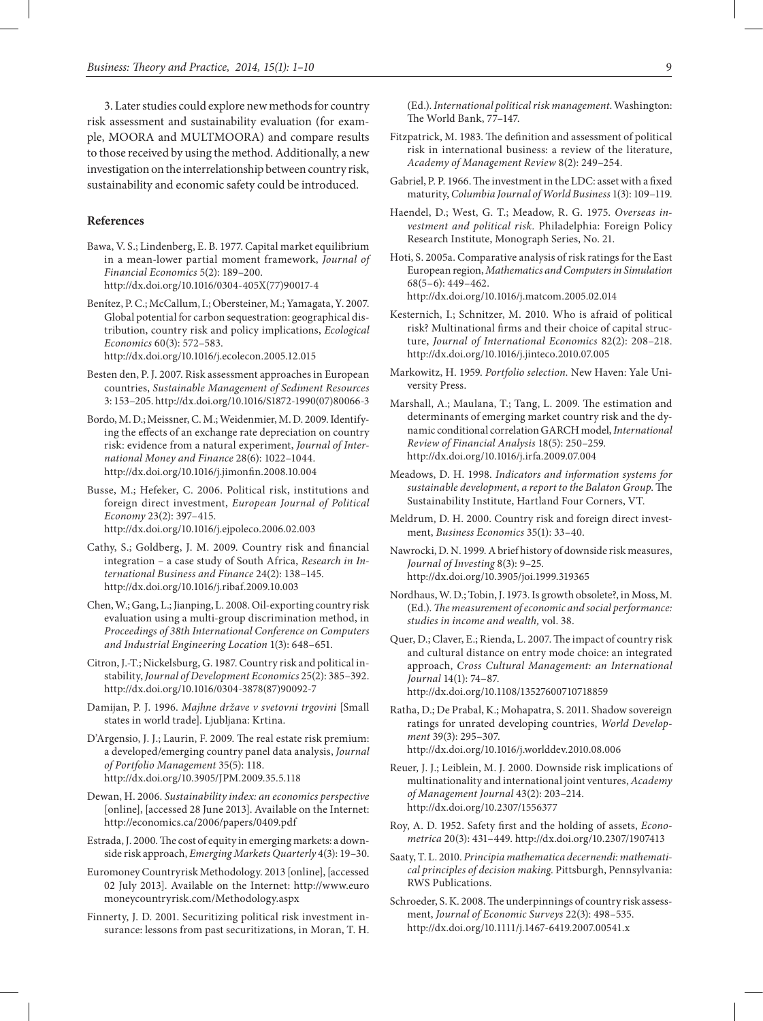3. Later studies could explore new methods for country risk assessment and sustainability evaluation (for example, MOORA and MULTMOORA) and compare results to those received by using the method. Additionally, a new investigation on the interrelationship between country risk, sustainability and economic safety could be introduced.

#### **References**

- Bawa, V. S.; Lindenberg, E. B. 1977. Capital market equilibrium in a mean-lower partial moment framework, *Journal of Financial Economics* 5(2): 189–200. http://dx.doi.org/10.1016/0304-405X(77)90017-4
- Benítez, P. C.; McCallum, I.; Obersteiner, M.; Yamagata, Y. 2007. Global potential for carbon sequestration: geographical distribution, country risk and policy implications, *Ecological Economics* 60(3): 572–583. http://dx.doi.org/10.1016/j.ecolecon.2005.12.015
- Besten den, P. J. 2007. Risk assessment approaches in European countries, *Sustainable Management of Sediment Resources* 3: 153–205. http://dx.doi.org/10.1016/S1872-1990(07)80066-3
- Bordo, M. D.; Meissner, C. M.; Weidenmier, M. D. 2009. Identifying the effects of an exchange rate depreciation on country risk: evidence from a natural experiment, *Journal of International Money and Finance* 28(6): 1022–1044. http://dx.doi.org/10.1016/j.jimonfin.2008.10.004
- Busse, M.; Hefeker, C. 2006. Political risk, institutions and foreign direct investment, *European Journal of Political Economy* 23(2): 397–415. http://dx.doi.org/10.1016/j.ejpoleco.2006.02.003
- Cathy, S.; Goldberg, J. M. 2009. Country risk and financial integration – a case study of South Africa, *Research in International Business and Finance* 24(2): 138–145. http://dx.doi.org/10.1016/j.ribaf.2009.10.003
- Chen, W.; Gang, L.; Jianping, L. 2008. Oil-exporting country risk evaluation using a multi-group discrimination method, in *Proceedings of 38th International Conference on Computers and Industrial Engineering Location* 1(3): 648–651.
- Citron, J.-T.; Nickelsburg, G. 1987. Country risk and political instability, *Journal of Development Economics* 25(2): 385–392. http://dx.doi.org/10.1016/0304-3878(87)90092-7
- Damijan, P. J. 1996. *Majhne države v svetovni trgovini* [Small states in world trade]. Ljubljana: Krtina.
- D'Argensio, J. J.; Laurin, F. 2009. The real estate risk premium: a developed/emerging country panel data analysis, *Journal of Portfolio Management* 35(5): 118. http://dx.doi.org/10.3905/JPM.2009.35.5.118
- Dewan, H. 2006. *Sustainability index: an economics perspective* [online], [accessed 28 June 2013]. Available on the Internet: http://economics.ca/2006/papers/0409.pdf
- Estrada, J. 2000. The cost of equity in emerging markets: a downside risk approach, *Emerging Markets Quarterly* 4(3): 19–30.
- Euromoney Countryrisk Methodology. 2013 [online], [accessed 02 July 2013]. Available on the Internet: http://www.euro moneycountryrisk.com/Methodology.aspx
- Finnerty, J. D. 2001. Securitizing political risk investment insurance: lessons from past securitizations, in Moran, T. H.

(Ed.). *International political risk management*. Washington: The World Bank, 77–147.

- Fitzpatrick, M. 1983. The definition and assessment of political risk in international business: a review of the literature, *Academy of Management Review* 8(2): 249–254.
- Gabriel, P. P. 1966. The investment in the LDC: asset with a fixed maturity, *Columbia Journal of World Business* 1(3): 109–119.
- Haendel, D.; West, G. T.; Meadow, R. G. 1975. *Overseas investment and political risk.* Philadelphia: Foreign Policy Research Institute, Monograph Series, No. 21.
- Hoti, S. 2005a. Comparative analysis of risk ratings for the East European region, *Mathematics and Computers in Simulation*  68(5–6): 449–462. http://dx.doi.org/10.1016/j.matcom.2005.02.014
- Kesternich, I.; Schnitzer, M. 2010. Who is afraid of political risk? Multinational firms and their choice of capital structure, *Journal of International Economics* 82(2): 208–218. http://dx.doi.org/10.1016/j.jinteco.2010.07.005
- Markowitz, H. 1959. *Portfolio selection.* New Haven: Yale University Press.
- Marshall, A.; Maulana, T.; Tang, L. 2009. The estimation and determinants of emerging market country risk and the dynamic conditional correlation GARCH model, *International Review of Financial Analysis* 18(5): 250–259. http://dx.doi.org/10.1016/j.irfa.2009.07.004
- Meadows, D. H. 1998. *Indicators and information systems for sustainable development, a report to the Balaton Group*. The Sustainability Institute, Hartland Four Corners, VT.
- Meldrum, D. H. 2000. Country risk and foreign direct investment, *Business Economics* 35(1): 33–40.
- Nawrocki, D. N. 1999. A brief history of downside risk measures, *Journal of Investing* 8(3): 9–25. http://dx.doi.org/10.3905/joi.1999.319365
- Nordhaus, W. D.; Tobin, J. 1973. Is growth obsolete?, in Moss, M. (Ed.). *The measurement of economic and social performance: studies in income and wealth,* vol. 38.
- Quer, D.; Claver, E.; Rienda, L. 2007. The impact of country risk and cultural distance on entry mode choice: an integrated approach, *Cross Cultural Management: an International Journal* 14(1): 74–87. http://dx.doi.org/10.1108/13527600710718859
- Ratha, D.; De Prabal, K.; Mohapatra, S. 2011. Shadow sovereign ratings for unrated developing countries, *World Development* 39(3): 295–307. http://dx.doi.org/10.1016/j.worlddev.2010.08.006
- Reuer, J. J.; Leiblein, M. J. 2000. Downside risk implications of multinationality and international joint ventures, *Academy of Management Journal* 43(2): 203–214. http://dx.doi.org/10.2307/1556377
- Roy, A. D. 1952. Safety first and the holding of assets, *Econometrica* 20(3): 431–449. http://dx.doi.org/10.2307/1907413
- Saaty, T. L. 2010. *Principia mathematica decernendi: mathematical principles of decision making*. Pittsburgh, Pennsylvania: RWS Publications.
- Schroeder, S. K. 2008. The underpinnings of country risk assessment, *Journal of Economic Surveys* 22(3): 498–535. http://dx.doi.org/10.1111/j.1467-6419.2007.00541.x